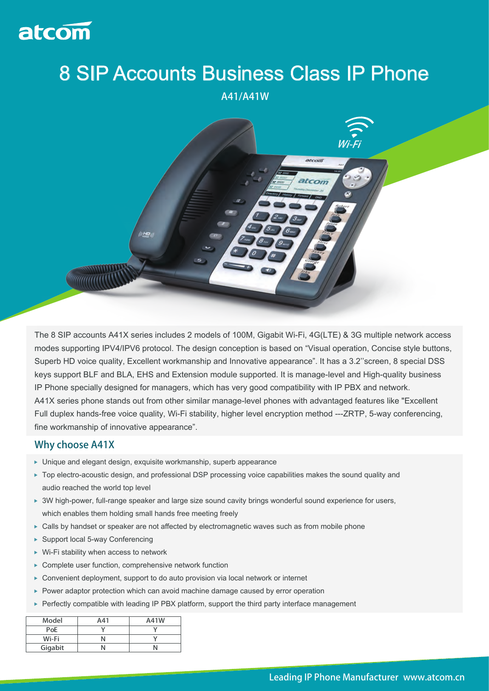

## 8 SIP Accounts Business Class IP Phone

A41/A41W



The 8 SIP accounts A41X series includes 2 models of 100M, Gigabit Wi-Fi, 4G(LTE) & 3G multiple network access modes supporting IPV4/IPV6 protocol. The design conception is based on "Visual operation, Concise style buttons, Superb HD voice quality, Excellent workmanship and Innovative appearance". It has a 3.2''screen, 8 special DSS keys support BLF and BLA, EHS and Extension module supported. It is manage-level and High-quality business IP Phone specially designed for managers, which has very good compatibility with IP PBX and network. A41X series phone stands out from other similar manage-level phones with advantaged features like "Excellent Full duplex hands-free voice quality, Wi-Fi stability, higher level encryption method ---ZRTP, 5-way conferencing, fine workmanship of innovative appearance".

## Why choose A41X

- Unique and elegant design, exquisite workmanship, superb appearance
- ► Top electro-acoustic design, and professional DSP processing voice capabilities makes the sound quality and audio reached the world top level
- ▶ 3W high-power, full-range speaker and large size sound cavity brings wonderful sound experience for users, which enables them holding small hands free meeting freely
- ▶ Calls by handset or speaker are not affected by electromagnetic waves such as from mobile phone
- ▶ Support local 5-way Conferencing
- ▶ Wi-Fi stability when access to network
- Complete user function, comprehensive network function
- ▶ Convenient deployment, support to do auto provision via local network or internet
- ▶ Power adaptor protection which can avoid machine damage caused by error operation
- ▶ Perfectly compatible with leading IP PBX platform, support the third party interface management

| Model   | A41 | A41W |
|---------|-----|------|
| PoE     |     |      |
| Wi-Fi   |     |      |
| Gigabit |     |      |